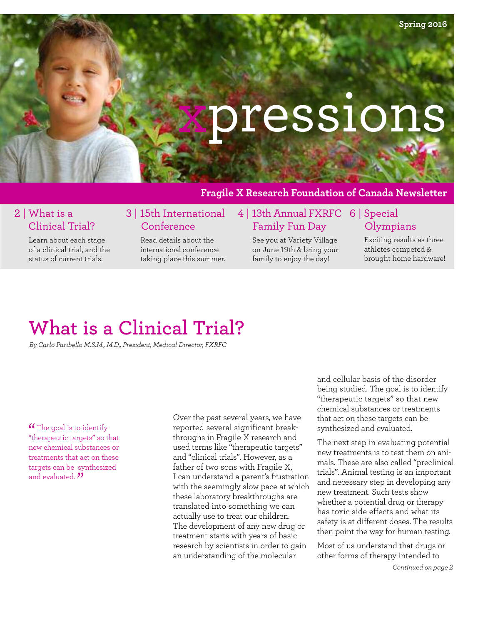# xpressions

### **Fragile X Research Foundation of Canada Newsletter**

### 2 | What is a Clinical Trial?

Learn about each stage of a clinical trial, and the status of current trials.

### 3 | 15th International Conference

Read details about the international conference taking place this summer.

### 4 | 13th Annual FXRFC 6 | Special Family Fun Day

See you at Variety Village on June 19th & bring your family to enjoy the day!

# **Olympians**

Exciting results as three athletes competed & brought home hardware!

# **What is a Clinical Trial?**

*By Carlo Paribello M.S.M., M.D., President, Medical Director, FXRFC*

**"**The goal is to identify "therapeutic targets" so that new chemical substances or treatments that act on these targets can be synthesized and evaluated.<sup>"</sup>

Over the past several years, we have reported several significant breakthroughs in Fragile X research and used terms like "therapeutic targets" and "clinical trials". However, as a father of two sons with Fragile X, I can understand a parent's frustration with the seemingly slow pace at which these laboratory breakthroughs are translated into something we can actually use to treat our children. The development of any new drug or treatment starts with years of basic research by scientists in order to gain an understanding of the molecular

and cellular basis of the disorder being studied. The goal is to identify "therapeutic targets" so that new chemical substances or treatments that act on these targets can be synthesized and evaluated.

The next step in evaluating potential new treatments is to test them on animals. These are also called "preclinical trials". Animal testing is an important and necessary step in developing any new treatment. Such tests show whether a potential drug or therapy has toxic side effects and what its safety is at different doses. The results then point the way for human testing.

Most of us understand that drugs or other forms of therapy intended to

*Continued on page 2*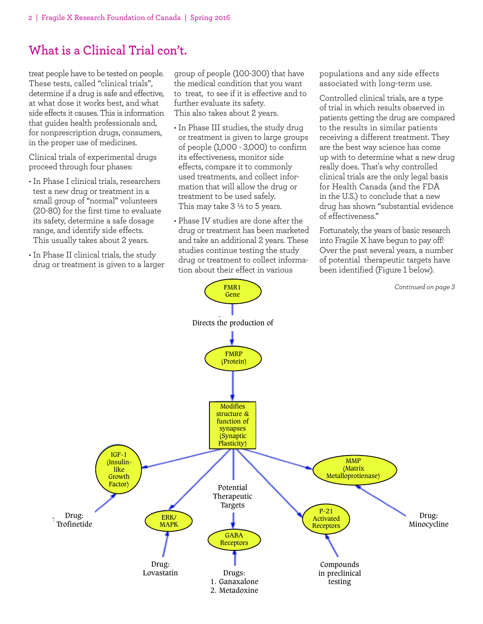# **What is a Clinical Trial con't.**

treat people have to be tested on people. These tests, called "clinical trials", determine if a drug is safe and effective, at what dose it works best, and what side effects it causes. This is information that guides health professionals and, for nonprescription drugs, consumers, in the proper use of medicines.

Clinical trials of experimental drugs proceed through four phases:

- In Phase I clinical trials, researchers test a new drug or treatment in a small group of "normal" volunteers (20-80) for the first time to evaluate its safety, determine a safe dosage range, and identify side effects. This usually takes about 2 years.
- In Phase II clinical trials, the study drug or treatment is given to a larger

group of people (100-300) that have the medical condition that you want to treat, to see if it is effective and to further evaluate its safety. This also takes about 2 years.

- In Phase III studies, the study drug or treatment is given to large groups of people (1,000 - 3,000) to confirm its effectiveness, monitor side effects, compare it to commonly used treatments, and collect information that will allow the drug or treatment to be used safely. This may take  $3\frac{1}{2}$  to 5 years.
- Phase IV studies are done after the drug or treatment has been marketed and take an additional 2 years. These studies continue testing the study drug or treatment to collect information about their effect in various

FMR1

populations and any side effects associated with long-term use.

Controlled clinical trials, are a type of trial in which results observed in patients getting the drug are compared to the results in similar patients receiving a different treatment. They are the best way science has come up with to determine what a new drug really does. That's why controlled clinical trials are the only legal basis for Health Canada (and the FDA in the U.S.) to conclude that a new drug has shown "substantial evidence of effectiveness."

Fortunately, the years of basic research into Fragile X have begun to pay off! Over the past several years, a number of potential therapeutic targets have been identified (Figure 1 below).



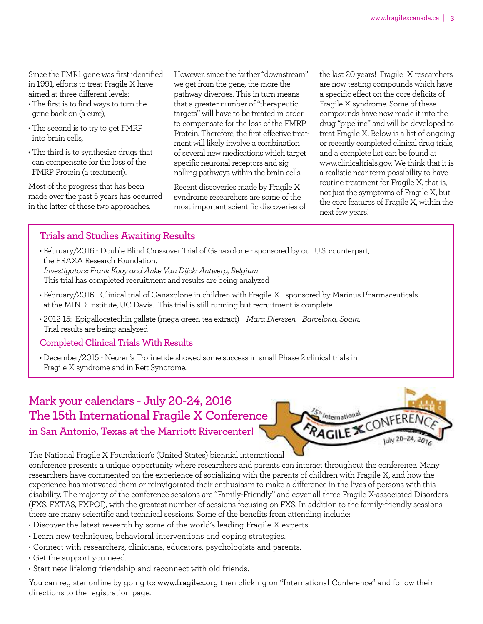Since the FMR1 gene was first identified in 1991, efforts to treat Fragile X have aimed at three different levels:

- The first is to find ways to turn the gene back on (a cure),
- The second is to try to get FMRP into brain cells,
- The third is to synthesize drugs that can compensate for the loss of the FMRP Protein (a treatment).

Most of the progress that has been made over the past 5 years has occurred in the latter of these two approaches.

However, since the farther "downstream" we get from the gene, the more the pathway diverges. This in turn means that a greater number of "therapeutic targets" will have to be treated in order to compensate for the loss of the FMRP Protein. Therefore, the first effective treatmentwill likely involve a combination of several new medicationswhich target specific neuronal receptors and signalling pathways within the brain cells.

Recent discoveries made by Fragile X syndrome researchers are some of the most important scientific discoveries of

the last 20 years! Fragile X researchers are now testing compounds which have a specific effect on the core deficits of Fragile X syndrome. Some of these compounds have now made it into the drug "pipeline" and will be developed to treat Fragile X. Below is a list of ongoing or recently completed clinical drug trials, and a complete list can be found at www.clinicaltrials.gov. We think that it is a realistic near term possibility to have routine treatment for Fragile X, that is, not just the symptoms of Fragile X, but the core features of Fragile X, within the next few years!

### **Trials and Studies Awaiting Results**

• February/2016 - Double Blind Crossover Trial of Ganaxolone - sponsored by our U.S. counterpart, the FRAXA Research Foundation. *Investigators: FrankKooy and AnkeVan Dijck- Antwerp, Belgium* This trial has completed recruitment and results are being analyzed

- February/2016 Clinical trial of Ganaxolone in children with Fragile X sponsored by Marinus Pharmaceuticals at the MIND Institute, UC Davis. This trial is still running but recruitment is complete
- 2012-15: Epigallocatechin gallate (mega green tea extract) *Mara Dierssen – Barcelona, Spain.* Trial results are being analyzed

#### **Completed Clinical Trials With Results**

• December/2015 - Neuren's Trofinetide showed some success in small Phase 2 clinical trials in Fragile X syndrome and in Rett Syndrome.

### **Mark your calendars - July 20-24, 2016 The 15th International Fragile X Conference in San Antonio, Texas at the Marriott Rivercenter!**



#### The National Fragile X Foundation's (United States) biennial international

conference presents a unique opportunity where researchers and parents can interact throughout the conference. Many researchers have commented on the experience of socializing with the parents of children with Fragile X, and how the experience has motivated them or reinvigorated their enthusiasm to make a difference in the lives of persons with this disability. The majority of the conference sessions are "Family-Friendly" and cover all three Fragile X-associated Disorders (FXS, FXTAS, FXPOI), with the greatest number of sessions focusing on FXS. In addition to the family-friendly sessions there are many scientific and technical sessions. Some of the benefits from attending include:

- Discover the latest research by some of the world's leading Fragile X experts.
- Learn new techniques, behavioral interventions and coping strategies.
- Connect with researchers, clinicians, educators, psychologists and parents.
- Get the support you need.
- Start new lifelong friendship and reconnect with old friends.

You can register online by going to: www.fragilex.org then clicking on "International Conference" and follow their directions to the registration page.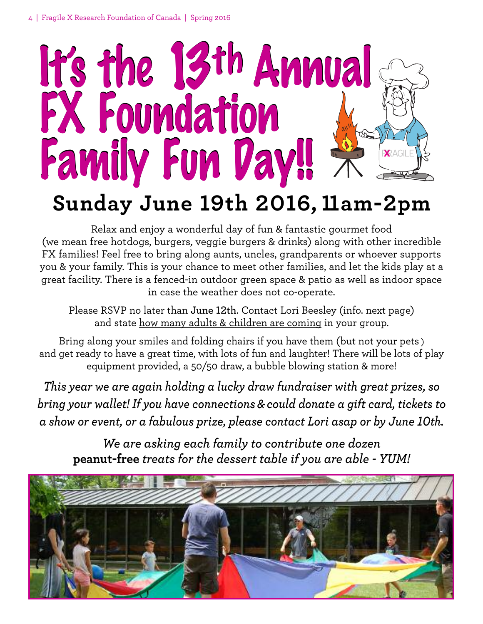

# **Sunday June 19th 2016, 11am-2pm**

Relax and enjoy a wonderful day of fun & fantastic gourmet food (we mean free hotdogs, burgers, veggie burgers & drinks) along with other incredible FX families! Feel free to bring along aunts, uncles, grandparents or whoever supports you & your family. This is your chance to meet other families, and let the kids play at a great facility. There is a fenced-in outdoor green space & patio as well as indoor space in case the weather does not co-operate.

Please RSVP no later than **June 12th**. Contact Lori Beesley (info. next page) and state how many adults & children are coming in your group.

Bring along your smiles and folding chairs if you have them (but not your pets ) and get ready to have a great time, with lots of fun and laughter! There will be lots of play equipment provided, a 50/50 draw, a bubble blowing station & more!

*This year we are again holding a lucky draw fundraiser with great prizes, so bring your wallet! If you have connections & could donate a gift card, tickets to a show or event, or a fabulous prize, please contact Lori asap or by June 10th.*

*We are asking each family to contribute one dozen* **peanut-free** *treats for the dessert table if you are able - YUM!*

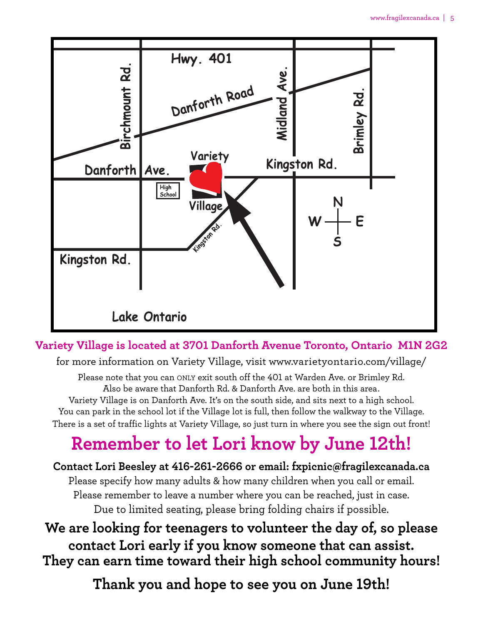

### **Variety Village is located at 3701 Danforth Avenue Toronto, Ontario M1N 2G2**

for more information on Variety Village, visit www.varietyontario.com/village/

Please note that you can ONLY exit south off the 401 at Warden Ave. or Brimley Rd. Also be aware that Danforth Rd. & Danforth Ave. are both in this area. Variety Village is on Danforth Ave. It's on the south side, and sits next to a high school. You can park in the school lot if the Village lot is full, then follow the walkway to the Village. There is a set of traffic lights at Variety Village, so just turn in where you see the sign out front!

# **Remember to let Lori know by June 12th!**

## **Contact Lori Beesley at 416-261-2666 or email: fxpicnic@fragilexcanada.ca** Please specify how many adults & how many children when you call or email. Please remember to leave a number where you can be reached, just in case. Due to limited seating, please bring folding chairs if possible.

# **We are looking for teenagers to volunteer the day of, so please contact Lori early if you know someone that can assist. They can earn time toward their high school community hours!**

**Thank you and hope to see you on June 19th!**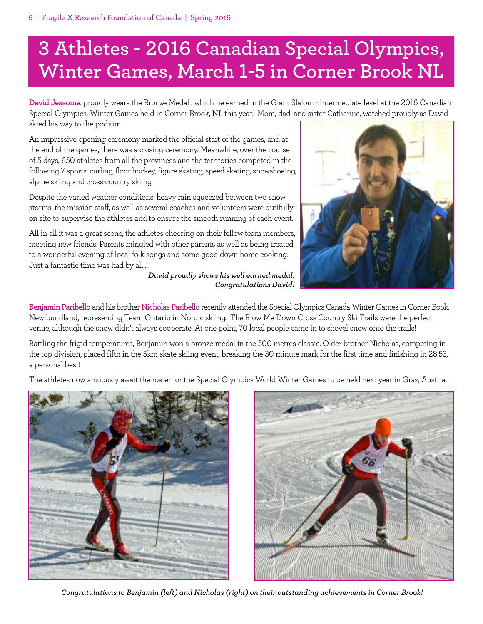# **3 Athletes - 2016 Canadian Special Olympics, Winter Games, March 1-5 in Corner Brook NL**

**David Jessome**, proudly wears the Bronze Medal , which he earned in the Giant Slalom - intermediate level at the 2016 Canadian Special Olympics, Winter Games held in Corner Brook, NL this year. Mom, dad, and sister Catherine, watched proudly as David skied his way to the podium .

An impressive opening ceremony marked the official start of the games, and at the end of the games, there was a closing ceremony. Meanwhile, over the course of 5 days, 650 athletes from all the provinces and the territories competed in the following 7 sports: curling, floor hockey, figure skating, speed skating, snowshoeing, alpine skiing and cross-country skiing.

Despite the varied weather conditions, heavy rain squeezed between two snow storms, the mission staff, as well as several coaches and volunteers were dutifully on site to supervise the athletes and to ensure the smooth running of each event.

All in all it was a great scene, the athletes cheering on their fellow team members, meeting new friends. Parents mingled with other parents as well as being treated to a wonderful evening of local folk songs and some good down home cooking. Just a fantastic time was had by all…

*David proudly shows his well earned medal. Congratulations David!*



**Benjamin Paribello** and his brother Nicholas Paribello recently attended the Special Olympics Canada Winter Games in Corner Book, Newfoundland, representing Team Ontario in Nordic skiing. The Blow Me Down Cross Country Ski Trails were the perfect venue, although the snow didn't always cooperate. At one point, 70 local people came in to shovel snow onto the trails!

Battling the frigid temperatures, Benjamin won a bronze medal in the 500 metres classic. Older brother Nicholas, competing in the top division, placed fifth in the 5km skate skiing event, breaking the 30 minute mark for the first time and finishing in 28:53, a personal best!

The athletes now anxiously await the roster for the Special Olympics World Winter Games to be held next year in Graz, Austria.





*Congratulations to Benjamin (left) and Nicholas (right) on their outstanding achievements in Corner Brook!*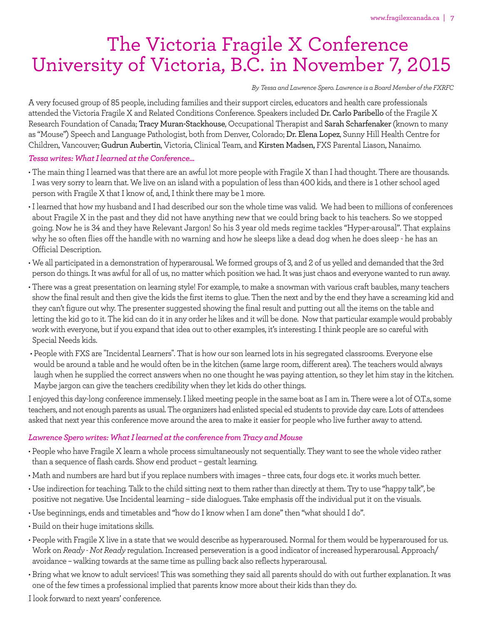# The Victoria Fragile X Conference University of Victoria, B.C. in November 7, 2015

#### *By Tessa and Lawrence Spero. Lawrence is a Board Member ofthe FXRFC*

A very focused group of 85 people, including families and their support circles, educators and health care professionals attended the Victoria Fragile X and Related Conditions Conference. Speakers included Dr. Carlo Paribello of the Fragile X Research Foundation of Canada; Tracy Muran-Stackhouse, Occupational Therapist and Sarah Scharfenaker(known to many as "Mouse") Speech and Language Pathologist, both from Denver, Colorado; Dr. Elena Lopez, Sunny Hill Health Centre for Children, Vancouver; Gudrun Aubertin, Victoria, Clinical Team, and Kirsten Madsen, FXS Parental Liason, Nanaimo.

#### *Tessawrites:WhatIlearned attheConference...*

- The main thing I learned was that there are an awful lot more people with Fragile X than I had thought. There are thousands. I was very sorry to learn that. We live on an island with a population of less than 400 kids, and there is 1 other school aged person with Fragile X that I know of, and, I think there may be 1 more.
- I learned that how my husband and I had described our son the whole time was valid. We had been to millions of conferences about Fragile X in the past and they did not have anything new that we could bring back to his teachers. So we stopped going. Now he is 34 and they have Relevant Jargon! So his 3 year old meds regime tackles "Hyper-arousal". That explains why he so often flies off the handle with no warning and how he sleeps like a dead dog when he does sleep - he has an Official Description.
- We all participated in a demonstration of hyperarousal. We formed groups of 3, and 2 of us yelled and demanded that the 3rd person do things. It was awful for all of us, no matter which position we had. It was just chaos and everyone wanted to run away.
- There was a great presentation on learning style! For example, to make a snowman with various craft baubles, many teachers show the final result and then give the kids the first items to glue. Then the next and by the end they have a screaming kid and they can't figure out why. The presenter suggested showing the final result and putting out all the items on the table and letting the kid go to it. The kid can do it in any order he likes and it will be done. Now that particular example would probably work with everyone, but if you expand that idea out to other examples, it's interesting. I think people are so careful with Special Needs kids.
- People with FXS are "Incidental Learners". That is how our son learned lots in his segregated classrooms. Everyone else would be around a table and he would often be in the kitchen (same large room, different area). The teachers would always laugh when he supplied the correct answers when no one thought he was paying attention, so they let him stay in the kitchen. Maybe jargon can give the teachers credibility when they let kids do other things.

I enjoyed this day-long conference immensely.Iliked meeting people in the same boat as I am in. Therewere a lot of O.T.s, some teachers, and not enough parents as usual.The organizers had enlisted special ed students to provide day care. Lots of attendees asked that next year this conference move around the area to make it easier for people who live further away to attend.

#### *Lawrence Sperowrites:WhatIlearned atthe conference from Tracy and Mouse*

- People who have Fragile X learn a whole process simultaneously not sequentially. They want to see the whole video rather than a sequence of flash cards. Show end product – gestalt learning.
- Math and numbers are hard but if you replace numbers with images three cats, four dogs etc. it works much better.
- Use indirection for teaching. Talk to the child sitting next to them rather than directly at them. Try to use "happy talk", be positive not negative. Use Incidental learning – side dialogues. Take emphasis off the individual put it on the visuals.
- Use beginnings, ends and timetables and "how do I know when I am done"then "what should I do".
- Build on their huge imitations skills.
- People with Fragile X live in a state that we would describe as hyperaroused. Normal for them would be hyperaroused for us. Work on *Ready - Not Ready* regulation. Increased perseveration is a good indicator of increased hyperarousal. Approach/ avoidance – walking towards at the same time as pulling back also reflects hyperarousal.
- Bring what we know to adult services! This was something they said all parents should do with out further explanation. It was one of the few times a professional implied that parents know more about their kids than they do.

I look forward to next years' conference.